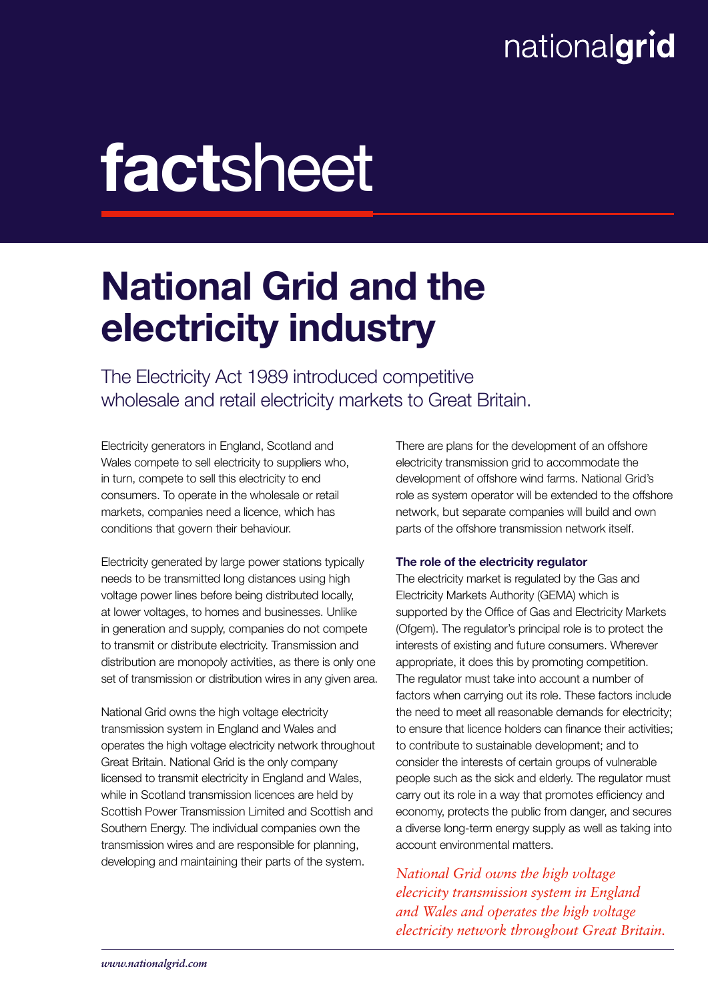### nationalgrid

# factsheet

## National Grid and the electricity industry

The Electricity Act 1989 introduced competitive wholesale and retail electricity markets to Great Britain.

Electricity generators in England, Scotland and Wales compete to sell electricity to suppliers who, in turn, compete to sell this electricity to end consumers. To operate in the wholesale or retail markets, companies need a licence, which has conditions that govern their behaviour.

Electricity generated by large power stations typically needs to be transmitted long distances using high voltage power lines before being distributed locally, at lower voltages, to homes and businesses. Unlike in generation and supply, companies do not compete to transmit or distribute electricity. Transmission and distribution are monopoly activities, as there is only one set of transmission or distribution wires in any given area.

National Grid owns the high voltage electricity transmission system in England and Wales and operates the high voltage electricity network throughout Great Britain. National Grid is the only company licensed to transmit electricity in England and Wales, while in Scotland transmission licences are held by Scottish Power Transmission Limited and Scottish and Southern Energy. The individual companies own the transmission wires and are responsible for planning, developing and maintaining their parts of the system.

There are plans for the development of an offshore electricity transmission grid to accommodate the development of offshore wind farms. National Grid's role as system operator will be extended to the offshore network, but separate companies will build and own parts of the offshore transmission network itself.

#### The role of the electricity regulator

The electricity market is regulated by the Gas and Electricity Markets Authority (GEMA) which is supported by the Office of Gas and Electricity Markets (Ofgem). The regulator's principal role is to protect the interests of existing and future consumers. Wherever appropriate, it does this by promoting competition. The regulator must take into account a number of factors when carrying out its role. These factors include the need to meet all reasonable demands for electricity; to ensure that licence holders can finance their activities; to contribute to sustainable development; and to consider the interests of certain groups of vulnerable people such as the sick and elderly. The regulator must carry out its role in a way that promotes efficiency and economy, protects the public from danger, and secures a diverse long-term energy supply as well as taking into account environmental matters.

*National Grid owns the high voltage elecricity transmission system in England and Wales and operates the high voltage electricity network throughout Great Britain.*